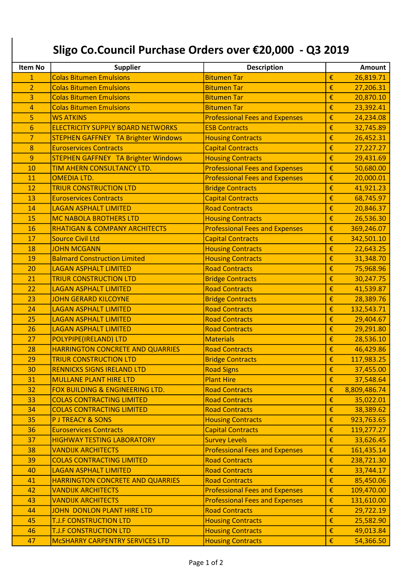## Sligo Co.Council Purchase Orders over €20,000 - Q3 2019

| Item No         | <b>Supplier</b>                            | <b>Description</b>                    |   | <b>Amount</b> |
|-----------------|--------------------------------------------|---------------------------------------|---|---------------|
| $\mathbf{1}$    | <b>Colas Bitumen Emulsions</b>             | <b>Bitumen Tar</b>                    | € | 26,819.71     |
| $\overline{2}$  | <b>Colas Bitumen Emulsions</b>             | <b>Bitumen Tar</b>                    | € | 27,206.31     |
| 3               | <b>Colas Bitumen Emulsions</b>             | <b>Bitumen Tar</b>                    | € | 20,870.10     |
| $\overline{4}$  | <b>Colas Bitumen Emulsions</b>             | <b>Bitumen Tar</b>                    | € | 23,392.41     |
| 5               | <b>WS ATKINS</b>                           | <b>Professional Fees and Expenses</b> | € | 24,234.08     |
| $6\phantom{1}6$ | <b>ELECTRICITY SUPPLY BOARD NETWORKS</b>   | <b>ESB Contracts</b>                  | € | 32,745.89     |
| $\overline{7}$  | <b>STEPHEN GAFFNEY TA Brighter Windows</b> | <b>Housing Contracts</b>              | € | 26,452.31     |
| 8               | <b>Euroservices Contracts</b>              | <b>Capital Contracts</b>              | € | 27,227.27     |
| 9               | <b>STEPHEN GAFFNEY TA Brighter Windows</b> | <b>Housing Contracts</b>              | € | 29,431.69     |
| 10              | TIM AHERN CONSULTANCY LTD.                 | <b>Professional Fees and Expenses</b> | € | 50,680.00     |
| 11              | <b>OMEDIA LTD.</b>                         | <b>Professional Fees and Expenses</b> | € | 20,000.01     |
| 12              | <b>TRIUR CONSTRUCTION LTD</b>              | <b>Bridge Contracts</b>               | € | 41,921.23     |
| 13              | <b>Euroservices Contracts</b>              | <b>Capital Contracts</b>              | € | 68,745.97     |
| 14              | <b>LAGAN ASPHALT LIMITED</b>               | <b>Road Contracts</b>                 | € | 20,846.37     |
| 15              | <b>MC NABOLA BROTHERS LTD</b>              | <b>Housing Contracts</b>              | € | 26,536.30     |
| 16              | <b>RHATIGAN &amp; COMPANY ARCHITECTS</b>   | <b>Professional Fees and Expenses</b> | € | 369,246.07    |
| 17              | <b>Source Civil Ltd</b>                    | <b>Capital Contracts</b>              | € | 342,501.10    |
| 18              | <b>JOHN MCGANN</b>                         | <b>Housing Contracts</b>              | € | 22,643.25     |
| 19              | <b>Balmard Construction Limited</b>        | <b>Housing Contracts</b>              | € | 31,348.70     |
| 20              | <b>LAGAN ASPHALT LIMITED</b>               | <b>Road Contracts</b>                 | € | 75,968.96     |
| 21              | <b>TRIUR CONSTRUCTION LTD</b>              | <b>Bridge Contracts</b>               | € | 30,247.75     |
| 22              | <b>LAGAN ASPHALT LIMITED</b>               | <b>Road Contracts</b>                 | € | 41,539.87     |
| 23              | <b>JOHN GERARD KILCOYNE</b>                | <b>Bridge Contracts</b>               | € | 28,389.76     |
| 24              | <b>LAGAN ASPHALT LIMITED</b>               | <b>Road Contracts</b>                 | € | 132,543.71    |
| 25              | <b>LAGAN ASPHALT LIMITED</b>               | <b>Road Contracts</b>                 | € | 29,404.67     |
| 26              | <b>LAGAN ASPHALT LIMITED</b>               | <b>Road Contracts</b>                 | € | 29,291.80     |
| 27              | <b>POLYPIPE(IRELAND) LTD</b>               | <b>Materials</b>                      | € | 28,536.10     |
| 28              | <b>HARRINGTON CONCRETE AND QUARRIES</b>    | <b>Road Contracts</b>                 | € | 46,429.86     |
| 29              | <b>TRIUR CONSTRUCTION LTD</b>              | <b>Bridge Contracts</b>               | € | 117,983.25    |
| 30              | <b>RENNICKS SIGNS IRELAND LTD</b>          | <b>Road Signs</b>                     | € | 37,455.00     |
| 31              | <b>MULLANE PLANT HIRE LTD</b>              | <b>Plant Hire</b>                     | € | 37,548.64     |
| 32              | FOX BUILDING & ENGINEERING LTD.            | <b>Road Contracts</b>                 | € | 8,809,486.74  |
| 33              | <b>COLAS CONTRACTING LIMITED</b>           | <b>Road Contracts</b>                 | € | 35,022.01     |
| 34              | <b>COLAS CONTRACTING LIMITED</b>           | <b>Road Contracts</b>                 | € | 38,389.62     |
| 35              | <b>PJ TREACY &amp; SONS</b>                | <b>Housing Contracts</b>              | € | 923,763.65    |
| 36              | <b>Euroservices Contracts</b>              | <b>Capital Contracts</b>              | € | 119,277.27    |
| 37              | <b>HIGHWAY TESTING LABORATORY</b>          | <b>Survey Levels</b>                  | € | 33,626.45     |
| 38              | <b>VANDIJK ARCHITECTS</b>                  | <b>Professional Fees and Expenses</b> | € | 161,435.14    |
| 39              | <b>COLAS CONTRACTING LIMITED</b>           | <b>Road Contracts</b>                 | € | 238,721.30    |
| 40              | <b>LAGAN ASPHALT LIMITED</b>               | <b>Road Contracts</b>                 | € | 33,744.17     |
| 41              | <b>HARRINGTON CONCRETE AND QUARRIES</b>    | <b>Road Contracts</b>                 | € | 85,450.06     |
| 42              | <b>VANDIJK ARCHITECTS</b>                  | <b>Professional Fees and Expenses</b> | € | 109,470.00    |
| 43              | <b>VANDIJK ARCHITECTS</b>                  | <b>Professional Fees and Expenses</b> | € | 131,610.00    |
| 44              | <b>JOHN DONLON PLANT HIRE LTD</b>          | <b>Road Contracts</b>                 | € | 29,722.19     |
| 45              | <b>T.J.F CONSTRUCTION LTD</b>              | <b>Housing Contracts</b>              | € | 25,582.90     |
| 46              | <b>T.J.F CONSTRUCTION LTD</b>              | <b>Housing Contracts</b>              | € | 49,013.84     |
| 47              | MCSHARRY CARPENTRY SERVICES LTD            | <b>Housing Contracts</b>              | € | 54,366.50     |